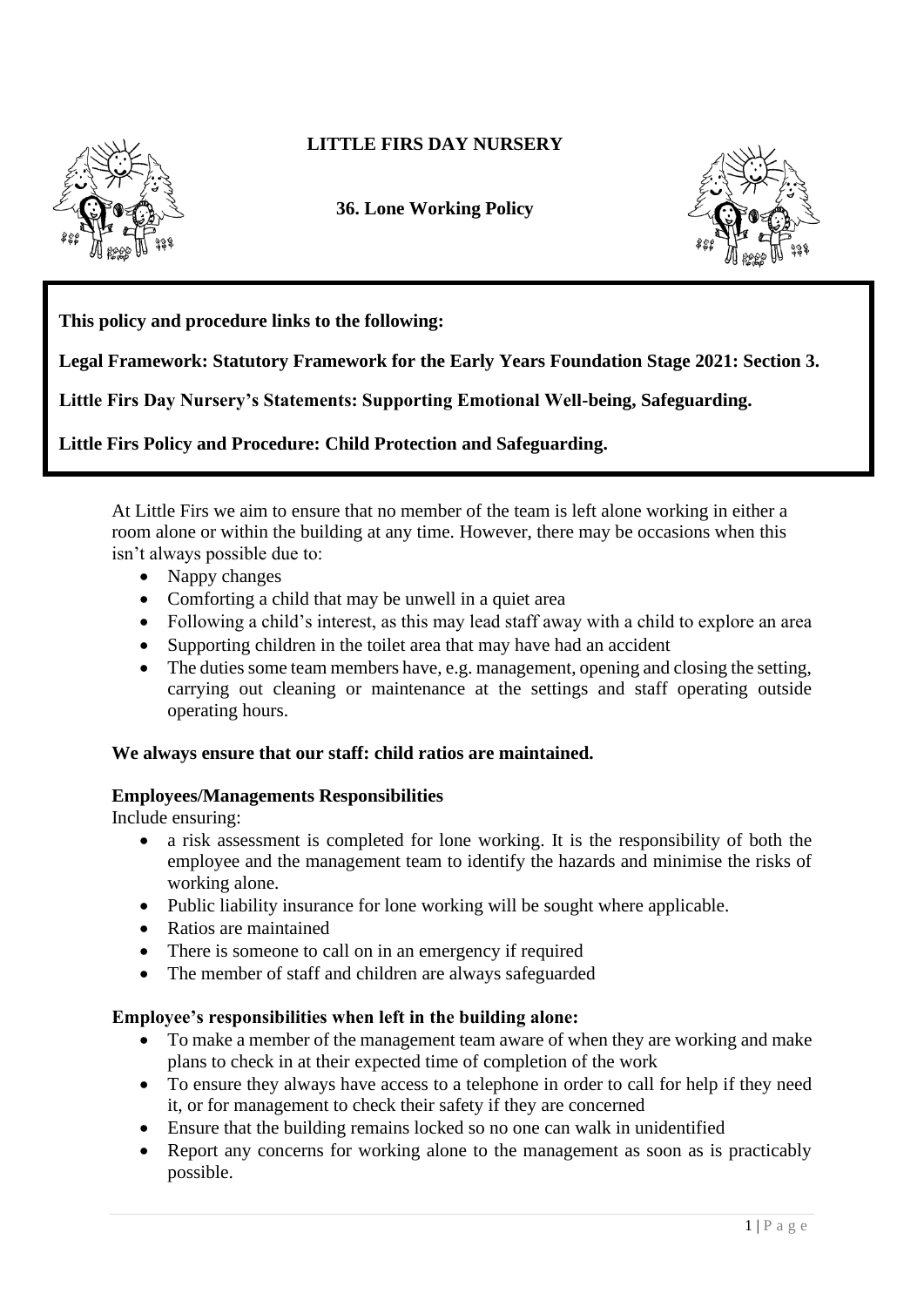

# **LITTLE FIRS DAY NURSERY**

**36. Lone Working Policy** 



**This policy and procedure links to the following:** 

**Legal Framework: Statutory Framework for the Early Years Foundation Stage 2021: Section 3.**

**Little Firs Day Nursery's Statements: Supporting Emotional Well-being, Safeguarding.**

**Little Firs Policy and Procedure: Child Protection and Safeguarding.**

At Little Firs we aim to ensure that no member of the team is left alone working in either a room alone or within the building at any time. However, there may be occasions when this isn't always possible due to:

- Nappy changes
- Comforting a child that may be unwell in a quiet area
- Following a child's interest, as this may lead staff away with a child to explore an area
- Supporting children in the toilet area that may have had an accident
- The duties some team members have, e.g. management, opening and closing the setting, carrying out cleaning or maintenance at the settings and staff operating outside operating hours.

## **We always ensure that our staff: child ratios are maintained.**

### **Employees/Managements Responsibilities**

Include ensuring:

- a risk assessment is completed for lone working. It is the responsibility of both the employee and the management team to identify the hazards and minimise the risks of working alone.
- Public liability insurance for lone working will be sought where applicable.
- Ratios are maintained
- There is someone to call on in an emergency if required
- The member of staff and children are always safeguarded

## **Employee's responsibilities when left in the building alone:**

- To make a member of the management team aware of when they are working and make plans to check in at their expected time of completion of the work
- To ensure they always have access to a telephone in order to call for help if they need it, or for management to check their safety if they are concerned
- Ensure that the building remains locked so no one can walk in unidentified
- Report any concerns for working alone to the management as soon as is practicably possible.